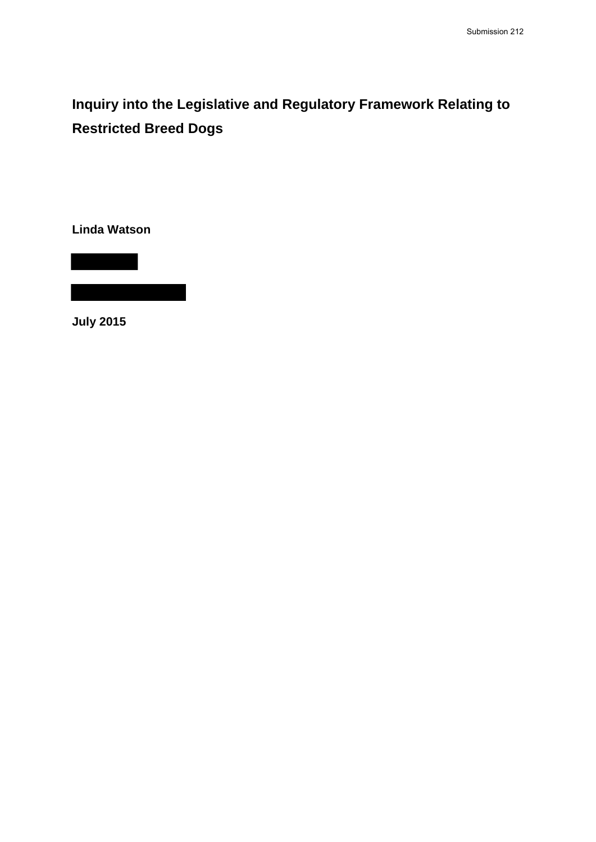**Inquiry into the Legislative and Regulatory Framework Relating to Restricted Breed Dogs**

**Linda Watson**

**July 2015**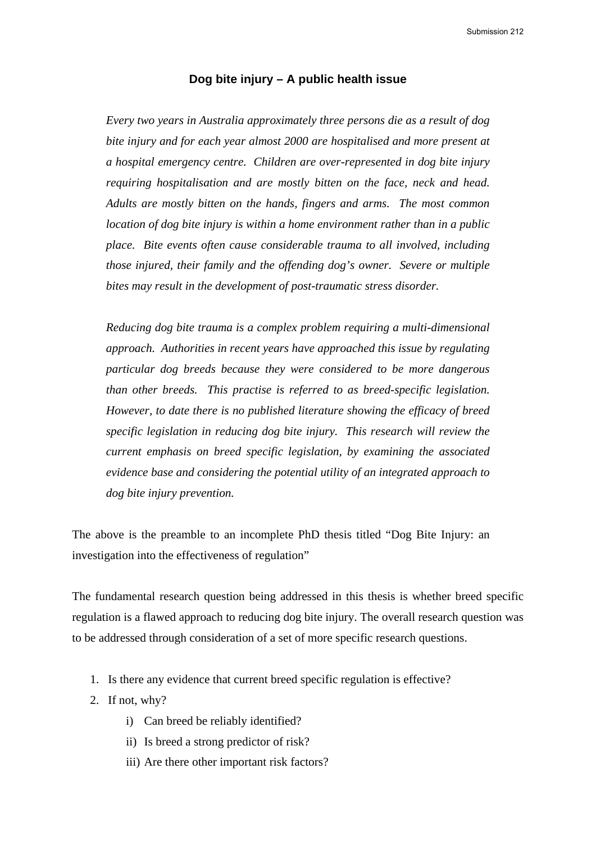Submission 212

# **Dog bite injury – A public health issue**

*Every two years in Australia approximately three persons die as a result of dog bite injury and for each year almost 2000 are hospitalised and more present at a hospital emergency centre. Children are over-represented in dog bite injury requiring hospitalisation and are mostly bitten on the face, neck and head. Adults are mostly bitten on the hands, fingers and arms. The most common location of dog bite injury is within a home environment rather than in a public place. Bite events often cause considerable trauma to all involved, including those injured, their family and the offending dog's owner. Severe or multiple bites may result in the development of post-traumatic stress disorder.*

*Reducing dog bite trauma is a complex problem requiring a multi-dimensional approach. Authorities in recent years have approached this issue by regulating particular dog breeds because they were considered to be more dangerous than other breeds. This practise is referred to as breed-specific legislation. However, to date there is no published literature showing the efficacy of breed specific legislation in reducing dog bite injury. This research will review the current emphasis on breed specific legislation, by examining the associated evidence base and considering the potential utility of an integrated approach to dog bite injury prevention.* 

The above is the preamble to an incomplete PhD thesis titled "Dog Bite Injury: an investigation into the effectiveness of regulation"

The fundamental research question being addressed in this thesis is whether breed specific regulation is a flawed approach to reducing dog bite injury. The overall research question was to be addressed through consideration of a set of more specific research questions.

- 1. Is there any evidence that current breed specific regulation is effective?
- 2. If not, why?
	- i) Can breed be reliably identified?
	- ii) Is breed a strong predictor of risk?
	- iii) Are there other important risk factors?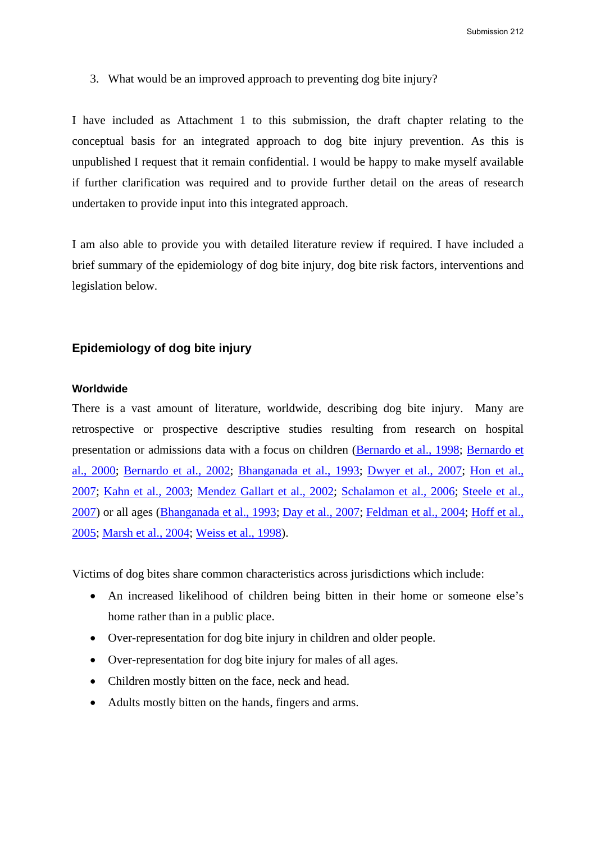3. What would be an improved approach to preventing dog bite injury?

I have included as Attachment 1 to this submission, the draft chapter relating to the conceptual basis for an integrated approach to dog bite injury prevention. As this is unpublished I request that it remain confidential. I would be happy to make myself available if further clarification was required and to provide further detail on the areas of research undertaken to provide input into this integrated approach.

I am also able to provide you with detailed literature review if required. I have included a brief summary of the epidemiology of dog bite injury, dog bite risk factors, interventions and legislation below.

# **Epidemiology of dog bite injury**

# **Worldwide**

There is a vast amount of literature, worldwide, describing dog bite injury. Many are retrospective or prospective descriptive studies resulting from research on hospital presentation or admissions data with a focus on children (Bernardo et al., 1998; Bernardo et al., 2000; Bernardo et al., 2002; Bhanganada et al., 1993; Dwyer et al., 2007; Hon et al., 2007; Kahn et al., 2003; Mendez Gallart et al., 2002; Schalamon et al., 2006; Steele et al., 2007) or all ages (Bhanganada et al., 1993; Day et al., 2007; Feldman et al., 2004; Hoff et al., 2005; Marsh et al., 2004; Weiss et al., 1998).

Victims of dog bites share common characteristics across jurisdictions which include:

- An increased likelihood of children being bitten in their home or someone else's home rather than in a public place.
- Over-representation for dog bite injury in children and older people.
- Over-representation for dog bite injury for males of all ages.
- Children mostly bitten on the face, neck and head.
- Adults mostly bitten on the hands, fingers and arms.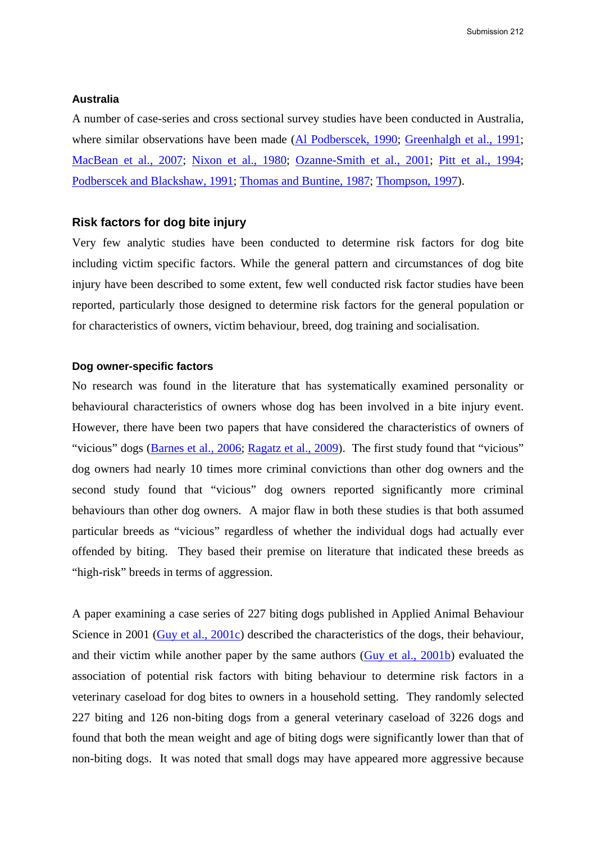### **Australia**

A number of case-series and cross sectional survey studies have been conducted in Australia, where similar observations have been made (Al Podberscek, 1990; Greenhalgh et al., 1991; MacBean et al., 2007; Nixon et al., 1980; Ozanne-Smith et al., 2001; Pitt et al., 1994; Podberscek and Blackshaw, 1991; Thomas and Buntine, 1987; Thompson, 1997).

### **Risk factors for dog bite injury**

Very few analytic studies have been conducted to determine risk factors for dog bite including victim specific factors. While the general pattern and circumstances of dog bite injury have been described to some extent, few well conducted risk factor studies have been reported, particularly those designed to determine risk factors for the general population or for characteristics of owners, victim behaviour, breed, dog training and socialisation.

# **Dog owner-specific factors**

No research was found in the literature that has systematically examined personality or behavioural characteristics of owners whose dog has been involved in a bite injury event. However, there have been two papers that have considered the characteristics of owners of "vicious" dogs (Barnes et al., 2006; Ragatz et al., 2009). The first study found that "vicious" dog owners had nearly 10 times more criminal convictions than other dog owners and the second study found that "vicious" dog owners reported significantly more criminal behaviours than other dog owners. A major flaw in both these studies is that both assumed particular breeds as "vicious" regardless of whether the individual dogs had actually ever offended by biting. They based their premise on literature that indicated these breeds as "high-risk" breeds in terms of aggression.

A paper examining a case series of 227 biting dogs published in Applied Animal Behaviour Science in 2001 (Guy et al., 2001c) described the characteristics of the dogs, their behaviour, and their victim while another paper by the same authors (Guy et al., 2001b) evaluated the association of potential risk factors with biting behaviour to determine risk factors in a veterinary caseload for dog bites to owners in a household setting. They randomly selected 227 biting and 126 non-biting dogs from a general veterinary caseload of 3226 dogs and found that both the mean weight and age of biting dogs were significantly lower than that of non-biting dogs. It was noted that small dogs may have appeared more aggressive because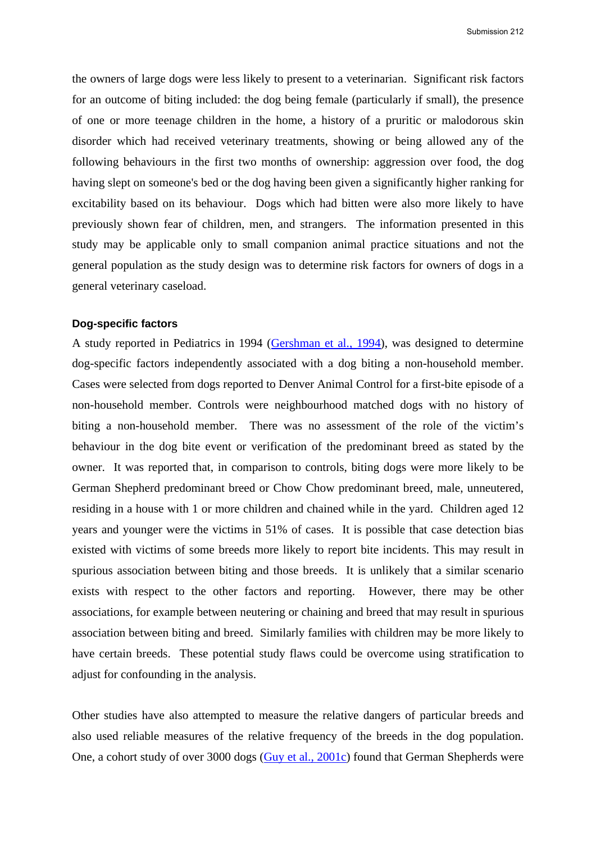the owners of large dogs were less likely to present to a veterinarian. Significant risk factors for an outcome of biting included: the dog being female (particularly if small), the presence of one or more teenage children in the home, a history of a pruritic or malodorous skin disorder which had received veterinary treatments, showing or being allowed any of the following behaviours in the first two months of ownership: aggression over food, the dog having slept on someone's bed or the dog having been given a significantly higher ranking for excitability based on its behaviour. Dogs which had bitten were also more likely to have previously shown fear of children, men, and strangers. The information presented in this study may be applicable only to small companion animal practice situations and not the general population as the study design was to determine risk factors for owners of dogs in a general veterinary caseload.

### **Dog-specific factors**

A study reported in Pediatrics in 1994 (Gershman et al., 1994), was designed to determine dog-specific factors independently associated with a dog biting a non-household member. Cases were selected from dogs reported to Denver Animal Control for a first-bite episode of a non-household member. Controls were neighbourhood matched dogs with no history of biting a non-household member. There was no assessment of the role of the victim's behaviour in the dog bite event or verification of the predominant breed as stated by the owner. It was reported that, in comparison to controls, biting dogs were more likely to be German Shepherd predominant breed or Chow Chow predominant breed, male, unneutered, residing in a house with 1 or more children and chained while in the yard. Children aged 12 years and younger were the victims in 51% of cases. It is possible that case detection bias existed with victims of some breeds more likely to report bite incidents. This may result in spurious association between biting and those breeds. It is unlikely that a similar scenario exists with respect to the other factors and reporting. However, there may be other associations, for example between neutering or chaining and breed that may result in spurious association between biting and breed. Similarly families with children may be more likely to have certain breeds. These potential study flaws could be overcome using stratification to adjust for confounding in the analysis.

Other studies have also attempted to measure the relative dangers of particular breeds and also used reliable measures of the relative frequency of the breeds in the dog population. One, a cohort study of over 3000 dogs (Guy et al., 2001c) found that German Shepherds were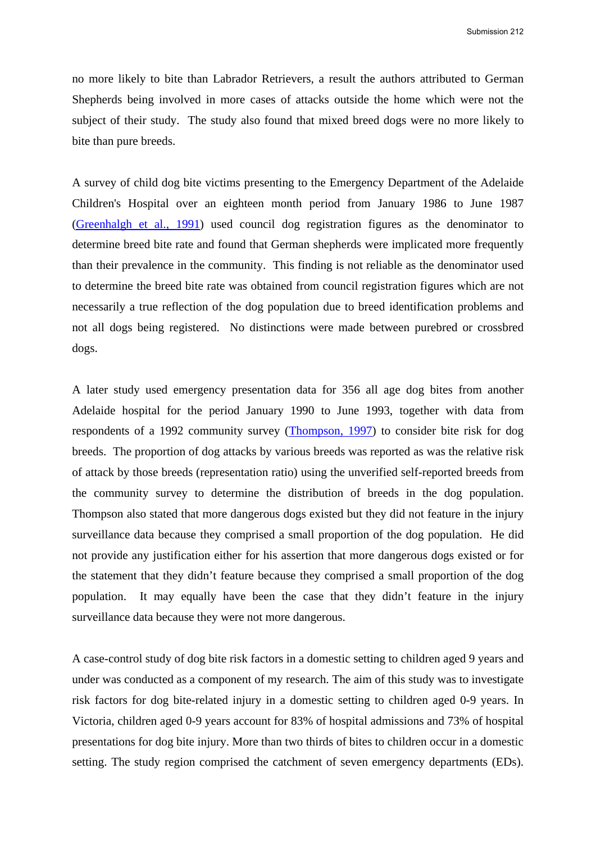no more likely to bite than Labrador Retrievers, a result the authors attributed to German Shepherds being involved in more cases of attacks outside the home which were not the subject of their study. The study also found that mixed breed dogs were no more likely to bite than pure breeds.

A survey of child dog bite victims presenting to the Emergency Department of the Adelaide Children's Hospital over an eighteen month period from January 1986 to June 1987 (Greenhalgh et al., 1991) used council dog registration figures as the denominator to determine breed bite rate and found that German shepherds were implicated more frequently than their prevalence in the community. This finding is not reliable as the denominator used to determine the breed bite rate was obtained from council registration figures which are not necessarily a true reflection of the dog population due to breed identification problems and not all dogs being registered. No distinctions were made between purebred or crossbred dogs.

A later study used emergency presentation data for 356 all age dog bites from another Adelaide hospital for the period January 1990 to June 1993, together with data from respondents of a 1992 community survey (Thompson, 1997) to consider bite risk for dog breeds. The proportion of dog attacks by various breeds was reported as was the relative risk of attack by those breeds (representation ratio) using the unverified self-reported breeds from the community survey to determine the distribution of breeds in the dog population. Thompson also stated that more dangerous dogs existed but they did not feature in the injury surveillance data because they comprised a small proportion of the dog population. He did not provide any justification either for his assertion that more dangerous dogs existed or for the statement that they didn't feature because they comprised a small proportion of the dog population. It may equally have been the case that they didn't feature in the injury surveillance data because they were not more dangerous.

A case-control study of dog bite risk factors in a domestic setting to children aged 9 years and under was conducted as a component of my research. The aim of this study was to investigate risk factors for dog bite-related injury in a domestic setting to children aged 0-9 years. In Victoria, children aged 0-9 years account for 83% of hospital admissions and 73% of hospital presentations for dog bite injury. More than two thirds of bites to children occur in a domestic setting. The study region comprised the catchment of seven emergency departments (EDs).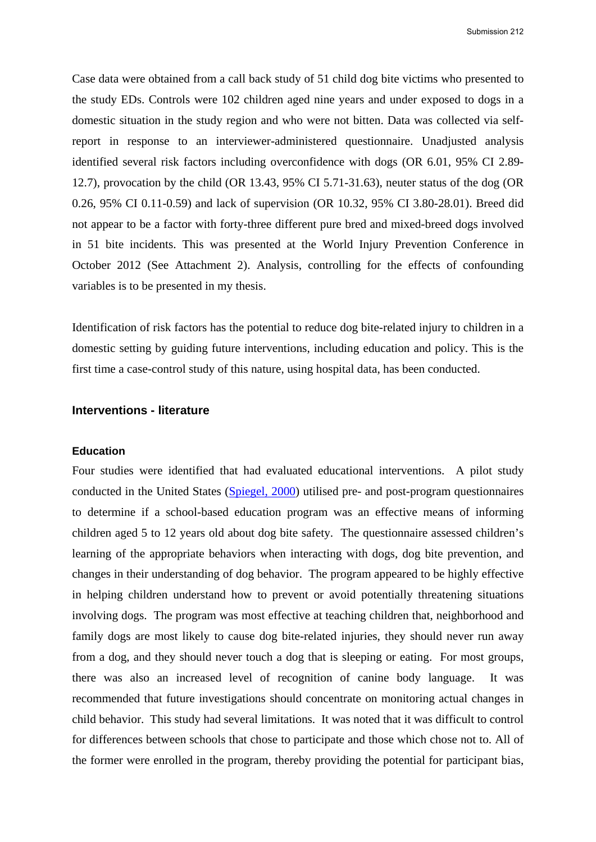Submission 212

Case data were obtained from a call back study of 51 child dog bite victims who presented to the study EDs. Controls were 102 children aged nine years and under exposed to dogs in a domestic situation in the study region and who were not bitten. Data was collected via selfreport in response to an interviewer-administered questionnaire. Unadjusted analysis identified several risk factors including overconfidence with dogs (OR 6.01, 95% CI 2.89- 12.7), provocation by the child (OR 13.43, 95% CI 5.71-31.63), neuter status of the dog (OR 0.26, 95% CI 0.11-0.59) and lack of supervision (OR 10.32, 95% CI 3.80-28.01). Breed did not appear to be a factor with forty-three different pure bred and mixed-breed dogs involved in 51 bite incidents. This was presented at the World Injury Prevention Conference in October 2012 (See Attachment 2). Analysis, controlling for the effects of confounding variables is to be presented in my thesis.

Identification of risk factors has the potential to reduce dog bite-related injury to children in a domestic setting by guiding future interventions, including education and policy. This is the first time a case-control study of this nature, using hospital data, has been conducted.

# **Interventions - literature**

### **Education**

Four studies were identified that had evaluated educational interventions. A pilot study conducted in the United States (Spiegel, 2000) utilised pre- and post-program questionnaires to determine if a school-based education program was an effective means of informing children aged 5 to 12 years old about dog bite safety. The questionnaire assessed children's learning of the appropriate behaviors when interacting with dogs, dog bite prevention, and changes in their understanding of dog behavior. The program appeared to be highly effective in helping children understand how to prevent or avoid potentially threatening situations involving dogs. The program was most effective at teaching children that, neighborhood and family dogs are most likely to cause dog bite-related injuries, they should never run away from a dog, and they should never touch a dog that is sleeping or eating. For most groups, there was also an increased level of recognition of canine body language. It was recommended that future investigations should concentrate on monitoring actual changes in child behavior. This study had several limitations. It was noted that it was difficult to control for differences between schools that chose to participate and those which chose not to. All of the former were enrolled in the program, thereby providing the potential for participant bias,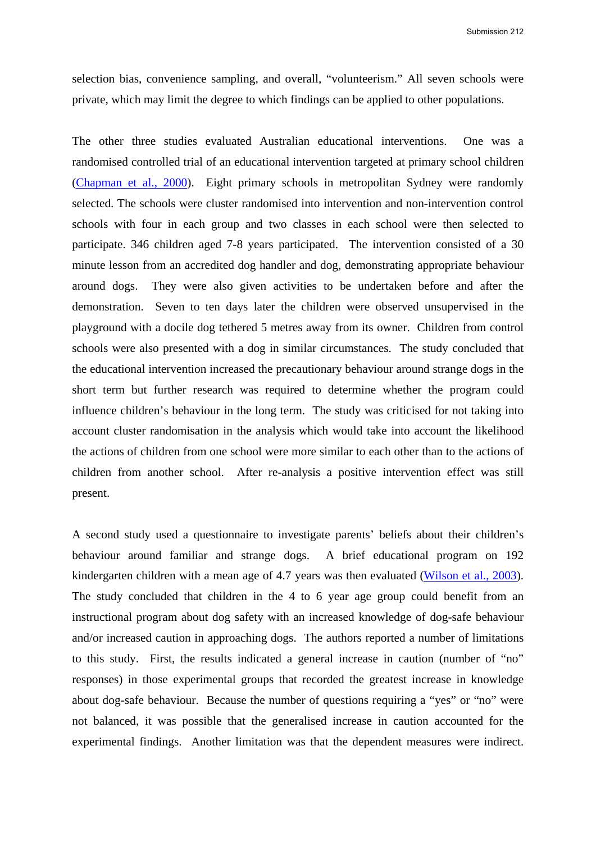Submission 212

selection bias, convenience sampling, and overall, "volunteerism." All seven schools were private, which may limit the degree to which findings can be applied to other populations.

The other three studies evaluated Australian educational interventions. One was a randomised controlled trial of an educational intervention targeted at primary school children (Chapman et al., 2000). Eight primary schools in metropolitan Sydney were randomly selected. The schools were cluster randomised into intervention and non-intervention control schools with four in each group and two classes in each school were then selected to participate. 346 children aged 7-8 years participated. The intervention consisted of a 30 minute lesson from an accredited dog handler and dog, demonstrating appropriate behaviour around dogs. They were also given activities to be undertaken before and after the demonstration. Seven to ten days later the children were observed unsupervised in the playground with a docile dog tethered 5 metres away from its owner. Children from control schools were also presented with a dog in similar circumstances. The study concluded that the educational intervention increased the precautionary behaviour around strange dogs in the short term but further research was required to determine whether the program could influence children's behaviour in the long term. The study was criticised for not taking into account cluster randomisation in the analysis which would take into account the likelihood the actions of children from one school were more similar to each other than to the actions of children from another school. After re-analysis a positive intervention effect was still present.

A second study used a questionnaire to investigate parents' beliefs about their children's behaviour around familiar and strange dogs. A brief educational program on 192 kindergarten children with a mean age of 4.7 years was then evaluated (Wilson et al., 2003). The study concluded that children in the 4 to 6 year age group could benefit from an instructional program about dog safety with an increased knowledge of dog-safe behaviour and/or increased caution in approaching dogs. The authors reported a number of limitations to this study. First, the results indicated a general increase in caution (number of "no" responses) in those experimental groups that recorded the greatest increase in knowledge about dog-safe behaviour. Because the number of questions requiring a "yes" or "no" were not balanced, it was possible that the generalised increase in caution accounted for the experimental findings. Another limitation was that the dependent measures were indirect.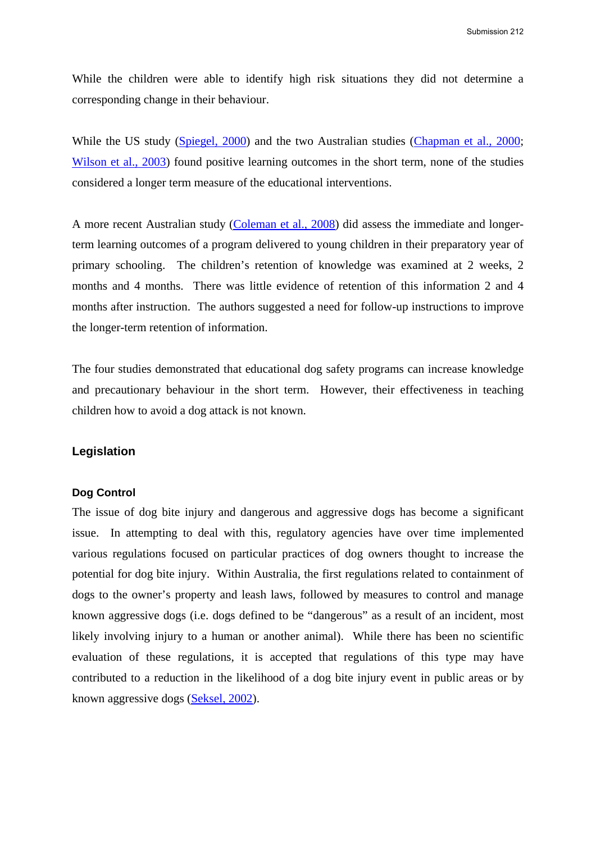While the children were able to identify high risk situations they did not determine a corresponding change in their behaviour.

While the US study (Spiegel, 2000) and the two Australian studies (Chapman et al., 2000; Wilson et al., 2003) found positive learning outcomes in the short term, none of the studies considered a longer term measure of the educational interventions.

A more recent Australian study (Coleman et al., 2008) did assess the immediate and longerterm learning outcomes of a program delivered to young children in their preparatory year of primary schooling.The children's retention of knowledge was examined at 2 weeks, 2 months and 4 months. There was little evidence of retention of this information 2 and 4 months after instruction. The authors suggested a need for follow-up instructions to improve the longer-term retention of information.

The four studies demonstrated that educational dog safety programs can increase knowledge and precautionary behaviour in the short term. However, their effectiveness in teaching children how to avoid a dog attack is not known.

# **Legislation**

# **Dog Control**

The issue of dog bite injury and dangerous and aggressive dogs has become a significant issue. In attempting to deal with this, regulatory agencies have over time implemented various regulations focused on particular practices of dog owners thought to increase the potential for dog bite injury. Within Australia, the first regulations related to containment of dogs to the owner's property and leash laws, followed by measures to control and manage known aggressive dogs (i.e. dogs defined to be "dangerous" as a result of an incident, most likely involving injury to a human or another animal). While there has been no scientific evaluation of these regulations, it is accepted that regulations of this type may have contributed to a reduction in the likelihood of a dog bite injury event in public areas or by known aggressive dogs (Seksel, 2002).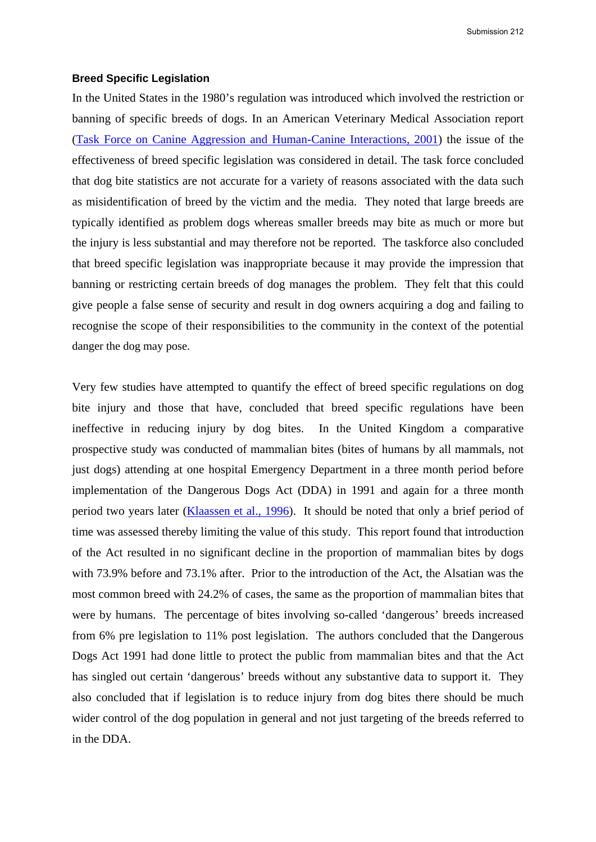#### **Breed Specific Legislation**

In the United States in the 1980's regulation was introduced which involved the restriction or banning of specific breeds of dogs. In an American Veterinary Medical Association report (Task Force on Canine Aggression and Human-Canine Interactions, 2001) the issue of the effectiveness of breed specific legislation was considered in detail. The task force concluded that dog bite statistics are not accurate for a variety of reasons associated with the data such as misidentification of breed by the victim and the media. They noted that large breeds are typically identified as problem dogs whereas smaller breeds may bite as much or more but the injury is less substantial and may therefore not be reported. The taskforce also concluded that breed specific legislation was inappropriate because it may provide the impression that banning or restricting certain breeds of dog manages the problem. They felt that this could give people a false sense of security and result in dog owners acquiring a dog and failing to recognise the scope of their responsibilities to the community in the context of the potential danger the dog may pose.

Very few studies have attempted to quantify the effect of breed specific regulations on dog bite injury and those that have, concluded that breed specific regulations have been ineffective in reducing injury by dog bites. In the United Kingdom a comparative prospective study was conducted of mammalian bites (bites of humans by all mammals, not just dogs) attending at one hospital Emergency Department in a three month period before implementation of the Dangerous Dogs Act (DDA) in 1991 and again for a three month period two years later (Klaassen et al., 1996). It should be noted that only a brief period of time was assessed thereby limiting the value of this study. This report found that introduction of the Act resulted in no significant decline in the proportion of mammalian bites by dogs with 73.9% before and 73.1% after. Prior to the introduction of the Act, the Alsatian was the most common breed with 24.2% of cases, the same as the proportion of mammalian bites that were by humans. The percentage of bites involving so-called 'dangerous' breeds increased from 6% pre legislation to 11% post legislation. The authors concluded that the Dangerous Dogs Act 1991 had done little to protect the public from mammalian bites and that the Act has singled out certain 'dangerous' breeds without any substantive data to support it. They also concluded that if legislation is to reduce injury from dog bites there should be much wider control of the dog population in general and not just targeting of the breeds referred to in the DDA.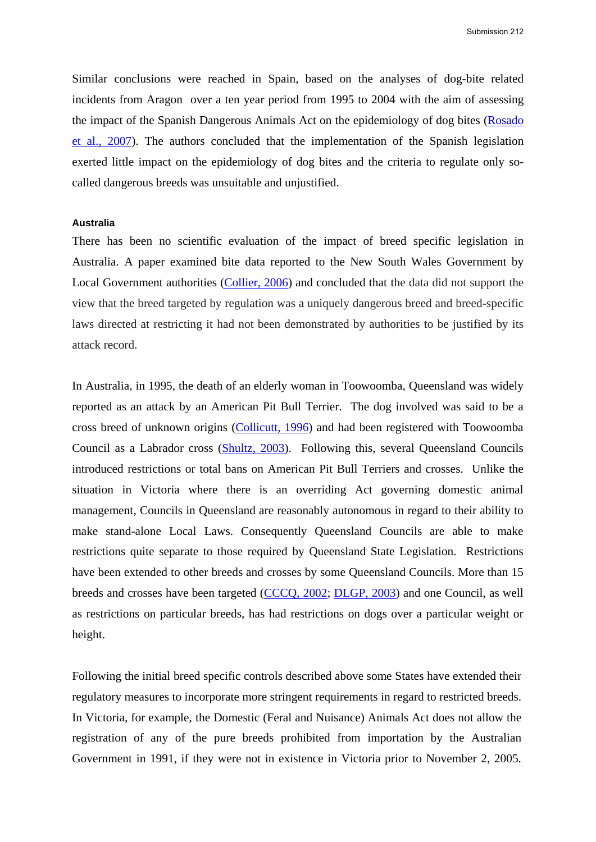Similar conclusions were reached in Spain, based on the analyses of dog-bite related incidents from Aragon over a ten year period from 1995 to 2004 with the aim of assessing the impact of the Spanish Dangerous Animals Act on the epidemiology of dog bites (Rosado et al., 2007). The authors concluded that the implementation of the Spanish legislation exerted little impact on the epidemiology of dog bites and the criteria to regulate only socalled dangerous breeds was unsuitable and unjustified.

#### **Australia**

There has been no scientific evaluation of the impact of breed specific legislation in Australia. A paper examined bite data reported to the New South Wales Government by Local Government authorities (Collier, 2006) and concluded that the data did not support the view that the breed targeted by regulation was a uniquely dangerous breed and breed-specific laws directed at restricting it had not been demonstrated by authorities to be justified by its attack record.

In Australia, in 1995, the death of an elderly woman in Toowoomba, Queensland was widely reported as an attack by an American Pit Bull Terrier. The dog involved was said to be a cross breed of unknown origins (Collicutt, 1996) and had been registered with Toowoomba Council as a Labrador cross (Shultz, 2003). Following this, several Queensland Councils introduced restrictions or total bans on American Pit Bull Terriers and crosses. Unlike the situation in Victoria where there is an overriding Act governing domestic animal management, Councils in Queensland are reasonably autonomous in regard to their ability to make stand-alone Local Laws. Consequently Queensland Councils are able to make restrictions quite separate to those required by Queensland State Legislation. Restrictions have been extended to other breeds and crosses by some Queensland Councils. More than 15 breeds and crosses have been targeted (CCCQ, 2002; DLGP, 2003) and one Council, as well as restrictions on particular breeds, has had restrictions on dogs over a particular weight or height.

Following the initial breed specific controls described above some States have extended their regulatory measures to incorporate more stringent requirements in regard to restricted breeds. In Victoria, for example, the Domestic (Feral and Nuisance) Animals Act does not allow the registration of any of the pure breeds prohibited from importation by the Australian Government in 1991, if they were not in existence in Victoria prior to November 2, 2005.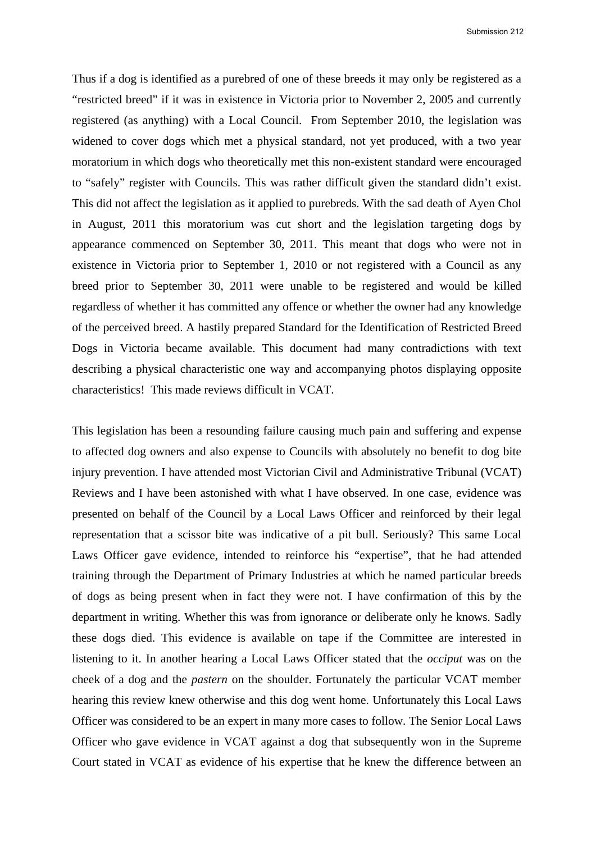Submission 212

Thus if a dog is identified as a purebred of one of these breeds it may only be registered as a "restricted breed" if it was in existence in Victoria prior to November 2, 2005 and currently registered (as anything) with a Local Council. From September 2010, the legislation was widened to cover dogs which met a physical standard, not yet produced, with a two year moratorium in which dogs who theoretically met this non-existent standard were encouraged to "safely" register with Councils. This was rather difficult given the standard didn't exist. This did not affect the legislation as it applied to purebreds. With the sad death of Ayen Chol in August, 2011 this moratorium was cut short and the legislation targeting dogs by appearance commenced on September 30, 2011. This meant that dogs who were not in existence in Victoria prior to September 1, 2010 or not registered with a Council as any breed prior to September 30, 2011 were unable to be registered and would be killed regardless of whether it has committed any offence or whether the owner had any knowledge of the perceived breed. A hastily prepared Standard for the Identification of Restricted Breed Dogs in Victoria became available. This document had many contradictions with text describing a physical characteristic one way and accompanying photos displaying opposite characteristics! This made reviews difficult in VCAT.

This legislation has been a resounding failure causing much pain and suffering and expense to affected dog owners and also expense to Councils with absolutely no benefit to dog bite injury prevention. I have attended most Victorian Civil and Administrative Tribunal (VCAT) Reviews and I have been astonished with what I have observed. In one case, evidence was presented on behalf of the Council by a Local Laws Officer and reinforced by their legal representation that a scissor bite was indicative of a pit bull. Seriously? This same Local Laws Officer gave evidence, intended to reinforce his "expertise", that he had attended training through the Department of Primary Industries at which he named particular breeds of dogs as being present when in fact they were not. I have confirmation of this by the department in writing. Whether this was from ignorance or deliberate only he knows. Sadly these dogs died. This evidence is available on tape if the Committee are interested in listening to it. In another hearing a Local Laws Officer stated that the *occiput* was on the cheek of a dog and the *pastern* on the shoulder. Fortunately the particular VCAT member hearing this review knew otherwise and this dog went home. Unfortunately this Local Laws Officer was considered to be an expert in many more cases to follow. The Senior Local Laws Officer who gave evidence in VCAT against a dog that subsequently won in the Supreme Court stated in VCAT as evidence of his expertise that he knew the difference between an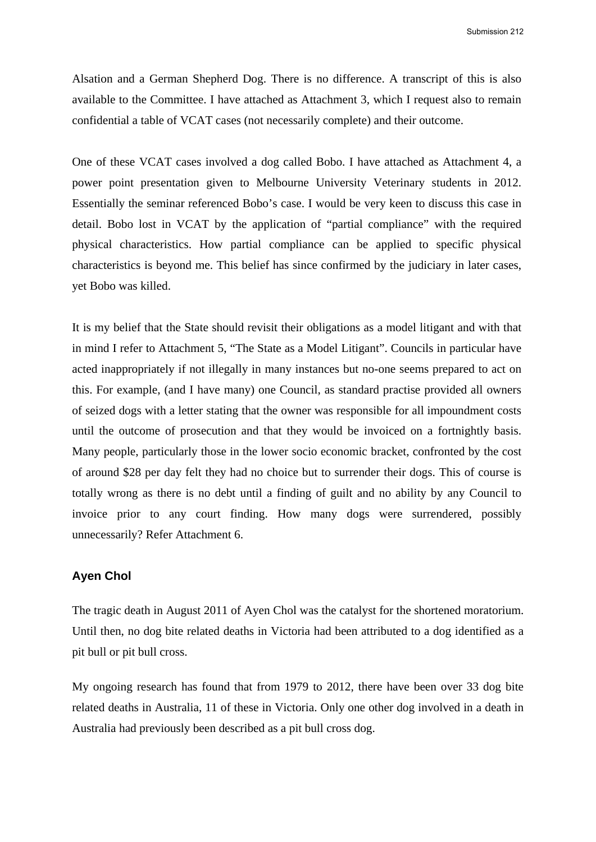Alsation and a German Shepherd Dog. There is no difference. A transcript of this is also available to the Committee. I have attached as Attachment 3, which I request also to remain confidential a table of VCAT cases (not necessarily complete) and their outcome.

One of these VCAT cases involved a dog called Bobo. I have attached as Attachment 4, a power point presentation given to Melbourne University Veterinary students in 2012. Essentially the seminar referenced Bobo's case. I would be very keen to discuss this case in detail. Bobo lost in VCAT by the application of "partial compliance" with the required physical characteristics. How partial compliance can be applied to specific physical characteristics is beyond me. This belief has since confirmed by the judiciary in later cases, yet Bobo was killed.

It is my belief that the State should revisit their obligations as a model litigant and with that in mind I refer to Attachment 5, "The State as a Model Litigant". Councils in particular have acted inappropriately if not illegally in many instances but no-one seems prepared to act on this. For example, (and I have many) one Council, as standard practise provided all owners of seized dogs with a letter stating that the owner was responsible for all impoundment costs until the outcome of prosecution and that they would be invoiced on a fortnightly basis. Many people, particularly those in the lower socio economic bracket, confronted by the cost of around \$28 per day felt they had no choice but to surrender their dogs. This of course is totally wrong as there is no debt until a finding of guilt and no ability by any Council to invoice prior to any court finding. How many dogs were surrendered, possibly unnecessarily? Refer Attachment 6.

# **Ayen Chol**

The tragic death in August 2011 of Ayen Chol was the catalyst for the shortened moratorium. Until then, no dog bite related deaths in Victoria had been attributed to a dog identified as a pit bull or pit bull cross.

My ongoing research has found that from 1979 to 2012, there have been over 33 dog bite related deaths in Australia, 11 of these in Victoria. Only one other dog involved in a death in Australia had previously been described as a pit bull cross dog.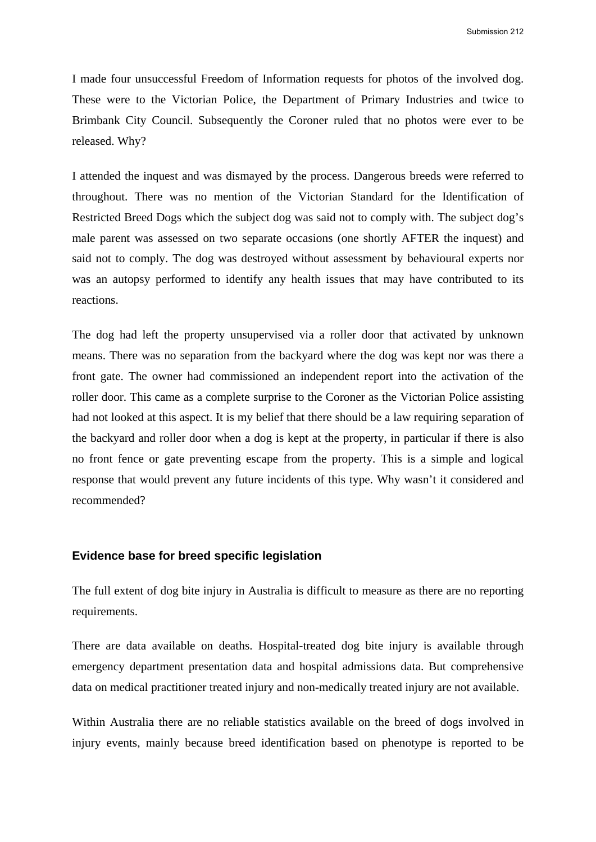I made four unsuccessful Freedom of Information requests for photos of the involved dog. These were to the Victorian Police, the Department of Primary Industries and twice to Brimbank City Council. Subsequently the Coroner ruled that no photos were ever to be released. Why?

I attended the inquest and was dismayed by the process. Dangerous breeds were referred to throughout. There was no mention of the Victorian Standard for the Identification of Restricted Breed Dogs which the subject dog was said not to comply with. The subject dog's male parent was assessed on two separate occasions (one shortly AFTER the inquest) and said not to comply. The dog was destroyed without assessment by behavioural experts nor was an autopsy performed to identify any health issues that may have contributed to its reactions.

The dog had left the property unsupervised via a roller door that activated by unknown means. There was no separation from the backyard where the dog was kept nor was there a front gate. The owner had commissioned an independent report into the activation of the roller door. This came as a complete surprise to the Coroner as the Victorian Police assisting had not looked at this aspect. It is my belief that there should be a law requiring separation of the backyard and roller door when a dog is kept at the property, in particular if there is also no front fence or gate preventing escape from the property. This is a simple and logical response that would prevent any future incidents of this type. Why wasn't it considered and recommended?

# **Evidence base for breed specific legislation**

The full extent of dog bite injury in Australia is difficult to measure as there are no reporting requirements.

There are data available on deaths. Hospital-treated dog bite injury is available through emergency department presentation data and hospital admissions data. But comprehensive data on medical practitioner treated injury and non-medically treated injury are not available.

Within Australia there are no reliable statistics available on the breed of dogs involved in injury events, mainly because breed identification based on phenotype is reported to be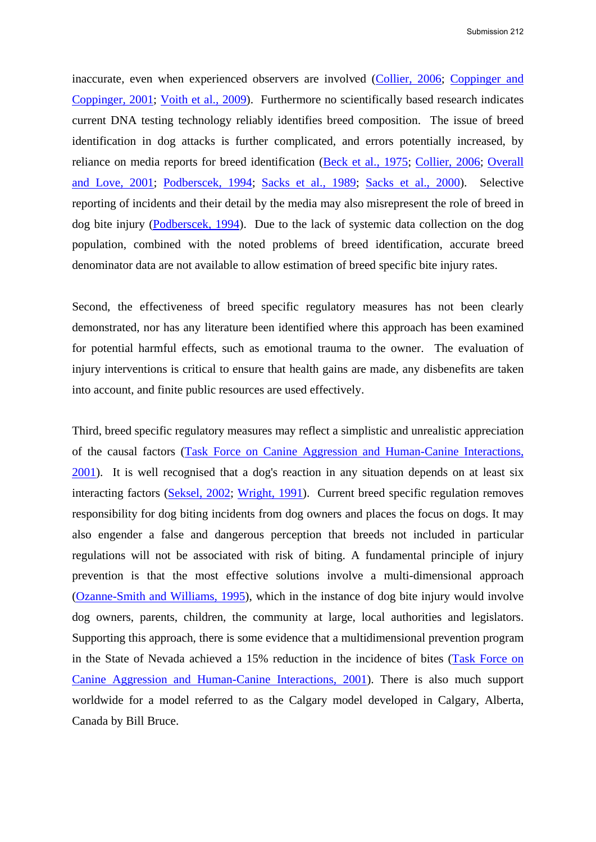inaccurate, even when experienced observers are involved (Collier, 2006; Coppinger and Coppinger, 2001; Voith et al., 2009). Furthermore no scientifically based research indicates current DNA testing technology reliably identifies breed composition. The issue of breed identification in dog attacks is further complicated, and errors potentially increased, by reliance on media reports for breed identification (Beck et al., 1975; Collier, 2006; Overall and Love, 2001; Podberscek, 1994; Sacks et al., 1989; Sacks et al., 2000). Selective reporting of incidents and their detail by the media may also misrepresent the role of breed in dog bite injury (Podberscek, 1994). Due to the lack of systemic data collection on the dog population, combined with the noted problems of breed identification, accurate breed denominator data are not available to allow estimation of breed specific bite injury rates.

Second, the effectiveness of breed specific regulatory measures has not been clearly demonstrated, nor has any literature been identified where this approach has been examined for potential harmful effects, such as emotional trauma to the owner. The evaluation of injury interventions is critical to ensure that health gains are made, any disbenefits are taken into account, and finite public resources are used effectively.

Third, breed specific regulatory measures may reflect a simplistic and unrealistic appreciation of the causal factors (Task Force on Canine Aggression and Human-Canine Interactions, 2001). It is well recognised that a dog's reaction in any situation depends on at least six interacting factors (Seksel, 2002; Wright, 1991). Current breed specific regulation removes responsibility for dog biting incidents from dog owners and places the focus on dogs. It may also engender a false and dangerous perception that breeds not included in particular regulations will not be associated with risk of biting. A fundamental principle of injury prevention is that the most effective solutions involve a multi-dimensional approach (Ozanne-Smith and Williams, 1995), which in the instance of dog bite injury would involve dog owners, parents, children, the community at large, local authorities and legislators. Supporting this approach, there is some evidence that a multidimensional prevention program in the State of Nevada achieved a 15% reduction in the incidence of bites (Task Force on Canine Aggression and Human-Canine Interactions, 2001). There is also much support worldwide for a model referred to as the Calgary model developed in Calgary, Alberta, Canada by Bill Bruce.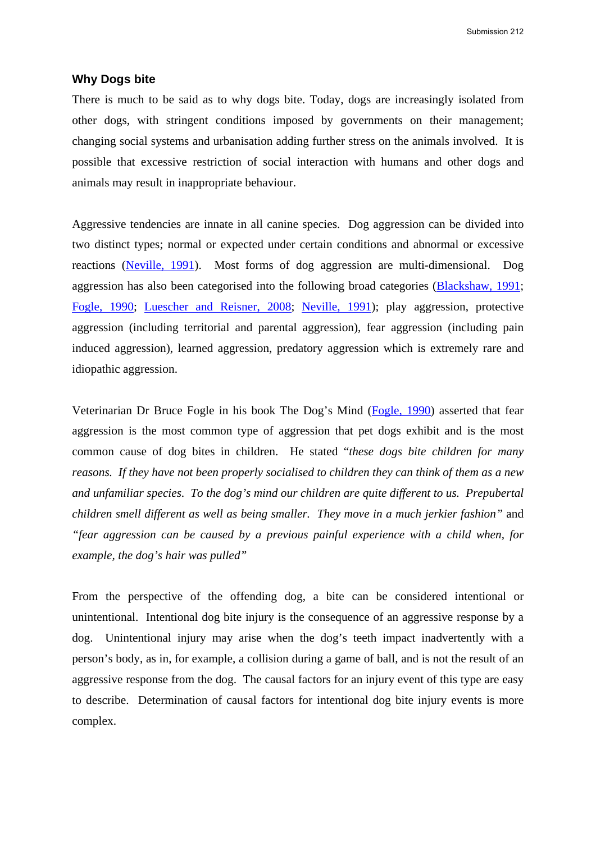### **Why Dogs bite**

There is much to be said as to why dogs bite. Today, dogs are increasingly isolated from other dogs, with stringent conditions imposed by governments on their management; changing social systems and urbanisation adding further stress on the animals involved. It is possible that excessive restriction of social interaction with humans and other dogs and animals may result in inappropriate behaviour.

Aggressive tendencies are innate in all canine species. Dog aggression can be divided into two distinct types; normal or expected under certain conditions and abnormal or excessive reactions (Neville, 1991). Most forms of dog aggression are multi-dimensional. Dog aggression has also been categorised into the following broad categories (Blackshaw, 1991; Fogle, 1990; Luescher and Reisner, 2008; Neville, 1991); play aggression, protective aggression (including territorial and parental aggression), fear aggression (including pain induced aggression), learned aggression, predatory aggression which is extremely rare and idiopathic aggression.

Veterinarian Dr Bruce Fogle in his book The Dog's Mind (Fogle, 1990) asserted that fear aggression is the most common type of aggression that pet dogs exhibit and is the most common cause of dog bites in children. He stated "*these dogs bite children for many reasons. If they have not been properly socialised to children they can think of them as a new and unfamiliar species. To the dog's mind our children are quite different to us. Prepubertal children smell different as well as being smaller. They move in a much jerkier fashion"* and *"fear aggression can be caused by a previous painful experience with a child when, for example, the dog's hair was pulled"* 

From the perspective of the offending dog, a bite can be considered intentional or unintentional. Intentional dog bite injury is the consequence of an aggressive response by a dog. Unintentional injury may arise when the dog's teeth impact inadvertently with a person's body, as in, for example, a collision during a game of ball, and is not the result of an aggressive response from the dog. The causal factors for an injury event of this type are easy to describe. Determination of causal factors for intentional dog bite injury events is more complex.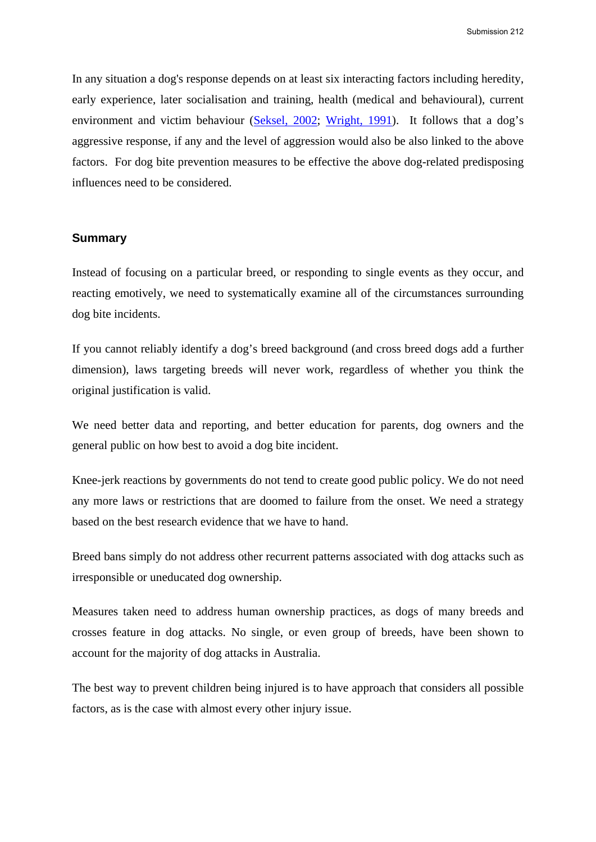In any situation a dog's response depends on at least six interacting factors including heredity, early experience, later socialisation and training, health (medical and behavioural), current environment and victim behaviour (Seksel, 2002; Wright, 1991). It follows that a dog's aggressive response, if any and the level of aggression would also be also linked to the above factors. For dog bite prevention measures to be effective the above dog-related predisposing influences need to be considered.

# **Summary**

Instead of focusing on a particular breed, or responding to single events as they occur, and reacting emotively, we need to systematically examine all of the circumstances surrounding dog bite incidents.

If you cannot reliably identify a dog's breed background (and cross breed dogs add a further dimension), laws targeting breeds will never work, regardless of whether you think the original justification is valid.

We need better data and reporting, and better education for parents, dog owners and the general public on how best to avoid a dog bite incident.

Knee-jerk reactions by governments do not tend to create good public policy. We do not need any more laws or restrictions that are doomed to failure from the onset. We need a strategy based on the best research evidence that we have to hand.

Breed bans simply do not address other recurrent patterns associated with dog attacks such as irresponsible or uneducated dog ownership.

Measures taken need to address human ownership practices, as dogs of many breeds and crosses feature in dog attacks. No single, or even group of breeds, have been shown to account for the majority of dog attacks in Australia.

The best way to prevent children being injured is to have approach that considers all possible factors, as is the case with almost every other injury issue.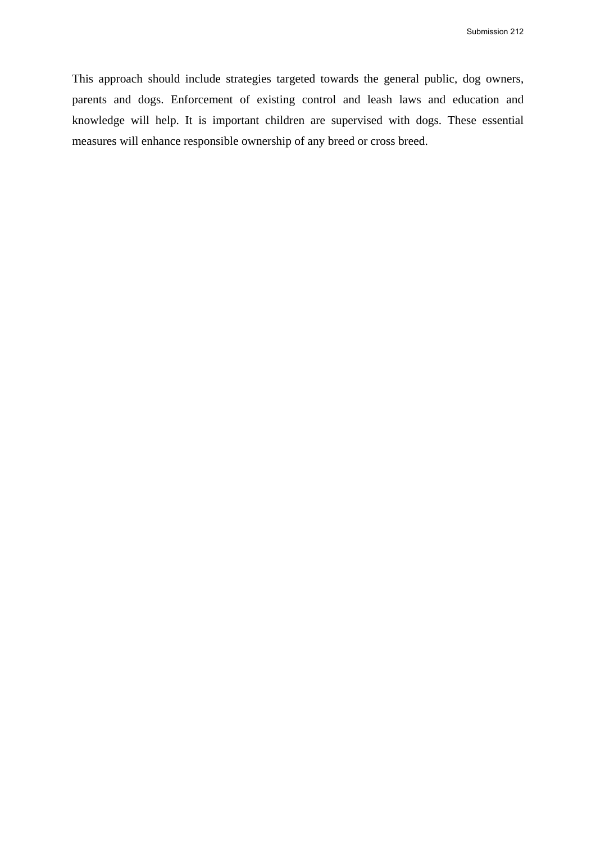This approach should include strategies targeted towards the general public, dog owners, parents and dogs. Enforcement of existing control and leash laws and education and knowledge will help. It is important children are supervised with dogs. These essential measures will enhance responsible ownership of any breed or cross breed.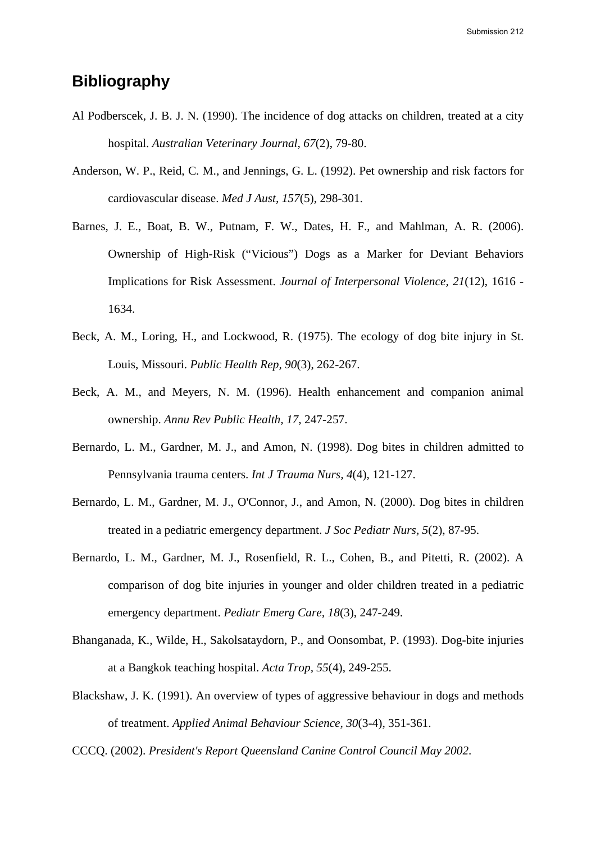# **Bibliography**

- Al Podberscek, J. B. J. N. (1990). The incidence of dog attacks on children, treated at a city hospital. *Australian Veterinary Journal, 67*(2), 79-80.
- Anderson, W. P., Reid, C. M., and Jennings, G. L. (1992). Pet ownership and risk factors for cardiovascular disease. *Med J Aust, 157*(5), 298-301.
- Barnes, J. E., Boat, B. W., Putnam, F. W., Dates, H. F., and Mahlman, A. R. (2006). Ownership of High-Risk ("Vicious") Dogs as a Marker for Deviant Behaviors Implications for Risk Assessment. *Journal of Interpersonal Violence, 21*(12), 1616 - 1634.
- Beck, A. M., Loring, H., and Lockwood, R. (1975). The ecology of dog bite injury in St. Louis, Missouri. *Public Health Rep, 90*(3), 262-267.
- Beck, A. M., and Meyers, N. M. (1996). Health enhancement and companion animal ownership. *Annu Rev Public Health, 17*, 247-257.
- Bernardo, L. M., Gardner, M. J., and Amon, N. (1998). Dog bites in children admitted to Pennsylvania trauma centers. *Int J Trauma Nurs, 4*(4), 121-127.
- Bernardo, L. M., Gardner, M. J., O'Connor, J., and Amon, N. (2000). Dog bites in children treated in a pediatric emergency department. *J Soc Pediatr Nurs, 5*(2), 87-95.
- Bernardo, L. M., Gardner, M. J., Rosenfield, R. L., Cohen, B., and Pitetti, R. (2002). A comparison of dog bite injuries in younger and older children treated in a pediatric emergency department. *Pediatr Emerg Care, 18*(3), 247-249.
- Bhanganada, K., Wilde, H., Sakolsataydorn, P., and Oonsombat, P. (1993). Dog-bite injuries at a Bangkok teaching hospital. *Acta Trop, 55*(4), 249-255.
- Blackshaw, J. K. (1991). An overview of types of aggressive behaviour in dogs and methods of treatment. *Applied Animal Behaviour Science, 30*(3-4), 351-361.

CCCQ. (2002). *President's Report Queensland Canine Control Council May 2002*.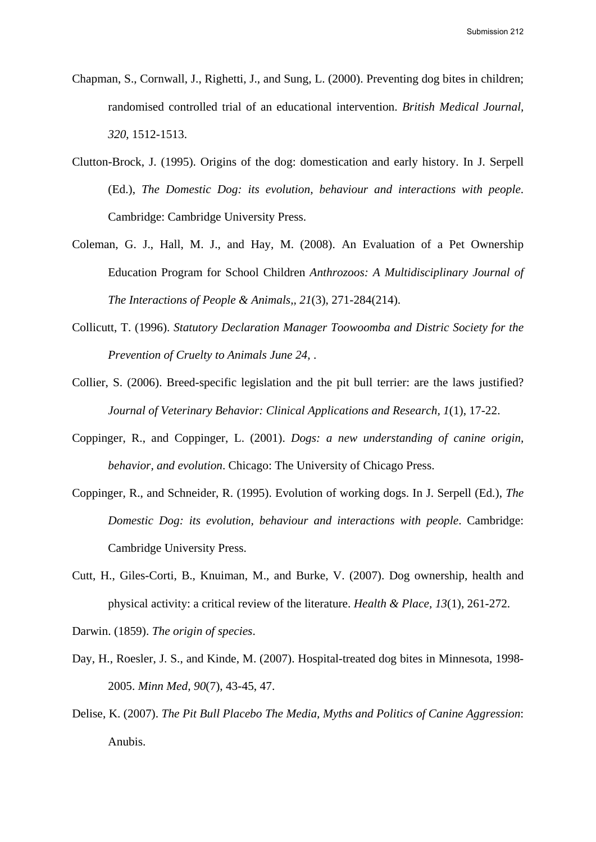- Chapman, S., Cornwall, J., Righetti, J., and Sung, L. (2000). Preventing dog bites in children; randomised controlled trial of an educational intervention. *British Medical Journal, 320*, 1512-1513.
- Clutton-Brock, J. (1995). Origins of the dog: domestication and early history. In J. Serpell (Ed.), *The Domestic Dog: its evolution, behaviour and interactions with people*. Cambridge: Cambridge University Press.
- Coleman, G. J., Hall, M. J., and Hay, M. (2008). An Evaluation of a Pet Ownership Education Program for School Children *Anthrozoos: A Multidisciplinary Journal of The Interactions of People & Animals,, 21*(3), 271-284(214).
- Collicutt, T. (1996). *Statutory Declaration Manager Toowoomba and Distric Society for the Prevention of Cruelty to Animals June 24,* .
- Collier, S. (2006). Breed-specific legislation and the pit bull terrier: are the laws justified? *Journal of Veterinary Behavior: Clinical Applications and Research, 1*(1), 17-22.
- Coppinger, R., and Coppinger, L. (2001). *Dogs: a new understanding of canine origin, behavior, and evolution*. Chicago: The University of Chicago Press.
- Coppinger, R., and Schneider, R. (1995). Evolution of working dogs. In J. Serpell (Ed.), *The Domestic Dog: its evolution, behaviour and interactions with people*. Cambridge: Cambridge University Press.
- Cutt, H., Giles-Corti, B., Knuiman, M., and Burke, V. (2007). Dog ownership, health and physical activity: a critical review of the literature. *Health & Place, 13*(1), 261-272.

Darwin. (1859). *The origin of species*.

- Day, H., Roesler, J. S., and Kinde, M. (2007). Hospital-treated dog bites in Minnesota, 1998- 2005. *Minn Med, 90*(7), 43-45, 47.
- Delise, K. (2007). *The Pit Bull Placebo The Media, Myths and Politics of Canine Aggression*: Anubis.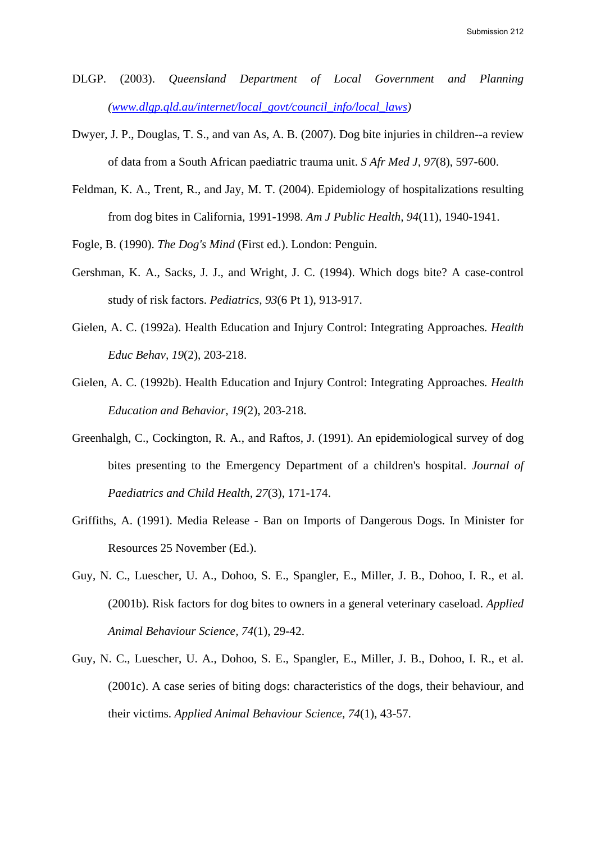- DLGP. (2003). *Queensland Department of Local Government and Planning (www.dlgp.qld.au/internet/local\_govt/council\_info/local\_laws)*
- Dwyer, J. P., Douglas, T. S., and van As, A. B. (2007). Dog bite injuries in children--a review of data from a South African paediatric trauma unit. *S Afr Med J, 97*(8), 597-600.
- Feldman, K. A., Trent, R., and Jay, M. T. (2004). Epidemiology of hospitalizations resulting from dog bites in California, 1991-1998. *Am J Public Health, 94*(11), 1940-1941.
- Fogle, B. (1990). *The Dog's Mind* (First ed.). London: Penguin.
- Gershman, K. A., Sacks, J. J., and Wright, J. C. (1994). Which dogs bite? A case-control study of risk factors. *Pediatrics, 93*(6 Pt 1), 913-917.
- Gielen, A. C. (1992a). Health Education and Injury Control: Integrating Approaches. *Health Educ Behav, 19*(2), 203-218.
- Gielen, A. C. (1992b). Health Education and Injury Control: Integrating Approaches. *Health Education and Behavior, 19*(2), 203-218.
- Greenhalgh, C., Cockington, R. A., and Raftos, J. (1991). An epidemiological survey of dog bites presenting to the Emergency Department of a children's hospital. *Journal of Paediatrics and Child Health, 27*(3), 171-174.
- Griffiths, A. (1991). Media Release Ban on Imports of Dangerous Dogs. In Minister for Resources 25 November (Ed.).
- Guy, N. C., Luescher, U. A., Dohoo, S. E., Spangler, E., Miller, J. B., Dohoo, I. R., et al. (2001b). Risk factors for dog bites to owners in a general veterinary caseload. *Applied Animal Behaviour Science, 74*(1), 29-42.
- Guy, N. C., Luescher, U. A., Dohoo, S. E., Spangler, E., Miller, J. B., Dohoo, I. R., et al. (2001c). A case series of biting dogs: characteristics of the dogs, their behaviour, and their victims. *Applied Animal Behaviour Science, 74*(1), 43-57.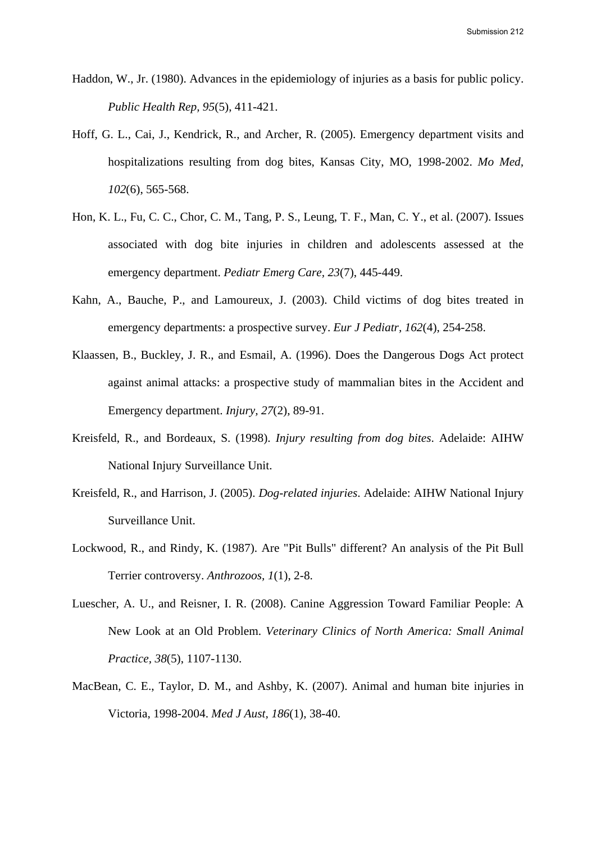- Haddon, W., Jr. (1980). Advances in the epidemiology of injuries as a basis for public policy. *Public Health Rep, 95*(5), 411-421.
- Hoff, G. L., Cai, J., Kendrick, R., and Archer, R. (2005). Emergency department visits and hospitalizations resulting from dog bites, Kansas City, MO, 1998-2002. *Mo Med, 102*(6), 565-568.
- Hon, K. L., Fu, C. C., Chor, C. M., Tang, P. S., Leung, T. F., Man, C. Y., et al. (2007). Issues associated with dog bite injuries in children and adolescents assessed at the emergency department. *Pediatr Emerg Care, 23*(7), 445-449.
- Kahn, A., Bauche, P., and Lamoureux, J. (2003). Child victims of dog bites treated in emergency departments: a prospective survey. *Eur J Pediatr, 162*(4), 254-258.
- Klaassen, B., Buckley, J. R., and Esmail, A. (1996). Does the Dangerous Dogs Act protect against animal attacks: a prospective study of mammalian bites in the Accident and Emergency department. *Injury, 27*(2), 89-91.
- Kreisfeld, R., and Bordeaux, S. (1998). *Injury resulting from dog bites*. Adelaide: AIHW National Injury Surveillance Unit.
- Kreisfeld, R., and Harrison, J. (2005). *Dog-related injuries*. Adelaide: AIHW National Injury Surveillance Unit.
- Lockwood, R., and Rindy, K. (1987). Are "Pit Bulls" different? An analysis of the Pit Bull Terrier controversy. *Anthrozoos, 1*(1), 2-8.
- Luescher, A. U., and Reisner, I. R. (2008). Canine Aggression Toward Familiar People: A New Look at an Old Problem. *Veterinary Clinics of North America: Small Animal Practice, 38*(5), 1107-1130.
- MacBean, C. E., Taylor, D. M., and Ashby, K. (2007). Animal and human bite injuries in Victoria, 1998-2004. *Med J Aust, 186*(1), 38-40.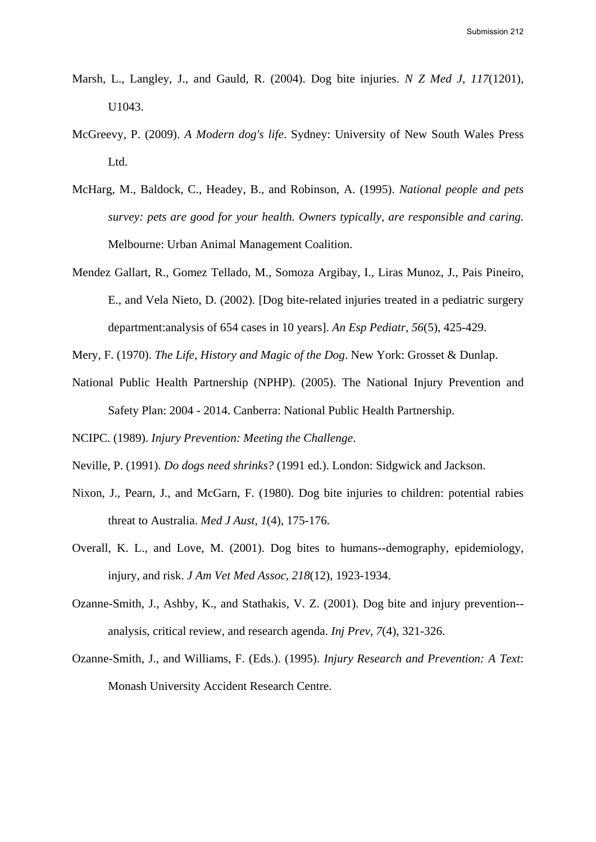- Marsh, L., Langley, J., and Gauld, R. (2004). Dog bite injuries. *N Z Med J, 117*(1201), U1043.
- McGreevy, P. (2009). *A Modern dog's life*. Sydney: University of New South Wales Press Ltd.
- McHarg, M., Baldock, C., Headey, B., and Robinson, A. (1995). *National people and pets survey: pets are good for your health. Owners typically, are responsible and caring.* Melbourne: Urban Animal Management Coalition.
- Mendez Gallart, R., Gomez Tellado, M., Somoza Argibay, I., Liras Munoz, J., Pais Pineiro, E., and Vela Nieto, D. (2002). [Dog bite-related injuries treated in a pediatric surgery department:analysis of 654 cases in 10 years]. *An Esp Pediatr, 56*(5), 425-429.

Mery, F. (1970). *The Life, History and Magic of the Dog*. New York: Grosset & Dunlap.

National Public Health Partnership (NPHP). (2005). The National Injury Prevention and Safety Plan: 2004 - 2014. Canberra: National Public Health Partnership.

NCIPC. (1989). *Injury Prevention: Meeting the Challenge*.

- Neville, P. (1991). *Do dogs need shrinks?* (1991 ed.). London: Sidgwick and Jackson.
- Nixon, J., Pearn, J., and McGarn, F. (1980). Dog bite injuries to children: potential rabies threat to Australia. *Med J Aust, 1*(4), 175-176.
- Overall, K. L., and Love, M. (2001). Dog bites to humans--demography, epidemiology, injury, and risk. *J Am Vet Med Assoc, 218*(12), 1923-1934.
- Ozanne-Smith, J., Ashby, K., and Stathakis, V. Z. (2001). Dog bite and injury prevention- analysis, critical review, and research agenda. *Inj Prev, 7*(4), 321-326.
- Ozanne-Smith, J., and Williams, F. (Eds.). (1995). *Injury Research and Prevention: A Text*: Monash University Accident Research Centre.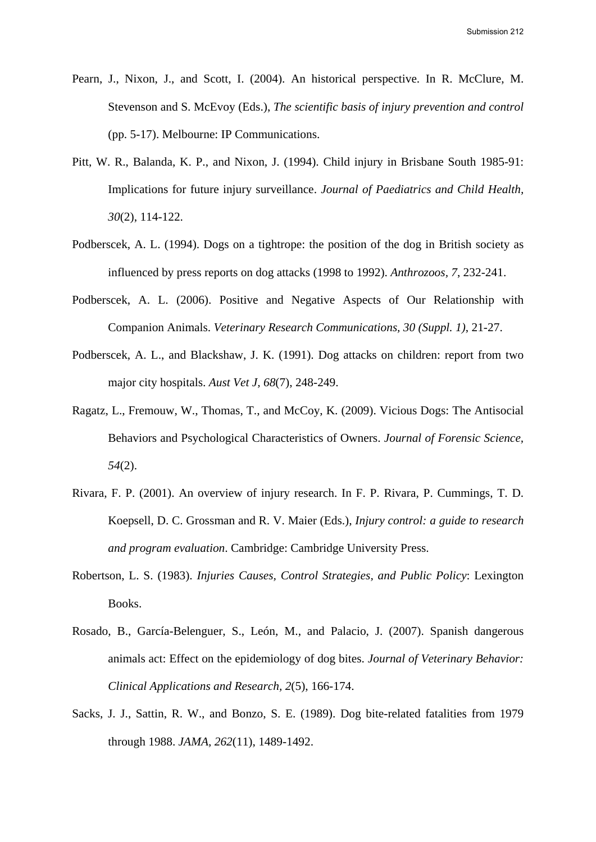- Pearn, J., Nixon, J., and Scott, I. (2004). An historical perspective. In R. McClure, M. Stevenson and S. McEvoy (Eds.), *The scientific basis of injury prevention and control* (pp. 5-17). Melbourne: IP Communications.
- Pitt, W. R., Balanda, K. P., and Nixon, J. (1994). Child injury in Brisbane South 1985-91: Implications for future injury surveillance. *Journal of Paediatrics and Child Health, 30*(2), 114-122.
- Podberscek, A. L. (1994). Dogs on a tightrope: the position of the dog in British society as influenced by press reports on dog attacks (1998 to 1992). *Anthrozoos, 7*, 232-241.
- Podberscek, A. L. (2006). Positive and Negative Aspects of Our Relationship with Companion Animals. *Veterinary Research Communications, 30 (Suppl. 1)*, 21-27.
- Podberscek, A. L., and Blackshaw, J. K. (1991). Dog attacks on children: report from two major city hospitals. *Aust Vet J, 68*(7), 248-249.
- Ragatz, L., Fremouw, W., Thomas, T., and McCoy, K. (2009). Vicious Dogs: The Antisocial Behaviors and Psychological Characteristics of Owners. *Journal of Forensic Science, 54*(2).
- Rivara, F. P. (2001). An overview of injury research. In F. P. Rivara, P. Cummings, T. D. Koepsell, D. C. Grossman and R. V. Maier (Eds.), *Injury control: a guide to research and program evaluation*. Cambridge: Cambridge University Press.
- Robertson, L. S. (1983). *Injuries Causes, Control Strategies, and Public Policy*: Lexington Books.
- Rosado, B., García-Belenguer, S., León, M., and Palacio, J. (2007). Spanish dangerous animals act: Effect on the epidemiology of dog bites. *Journal of Veterinary Behavior: Clinical Applications and Research, 2*(5), 166-174.
- Sacks, J. J., Sattin, R. W., and Bonzo, S. E. (1989). Dog bite-related fatalities from 1979 through 1988. *JAMA, 262*(11), 1489-1492.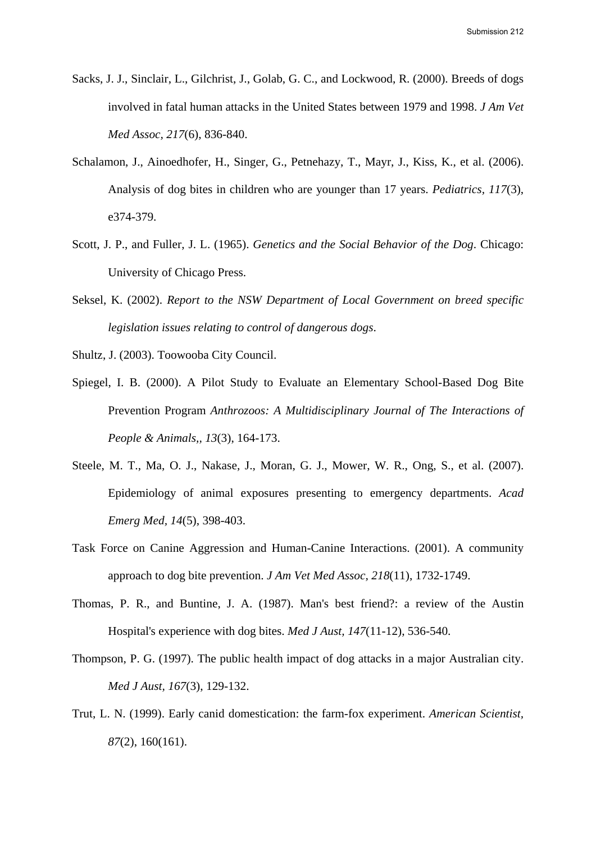- Sacks, J. J., Sinclair, L., Gilchrist, J., Golab, G. C., and Lockwood, R. (2000). Breeds of dogs involved in fatal human attacks in the United States between 1979 and 1998. *J Am Vet Med Assoc, 217*(6), 836-840.
- Schalamon, J., Ainoedhofer, H., Singer, G., Petnehazy, T., Mayr, J., Kiss, K., et al. (2006). Analysis of dog bites in children who are younger than 17 years. *Pediatrics, 117*(3), e374-379.
- Scott, J. P., and Fuller, J. L. (1965). *Genetics and the Social Behavior of the Dog*. Chicago: University of Chicago Press.
- Seksel, K. (2002). *Report to the NSW Department of Local Government on breed specific legislation issues relating to control of dangerous dogs*.
- Shultz, J. (2003). Toowooba City Council.
- Spiegel, I. B. (2000). A Pilot Study to Evaluate an Elementary School-Based Dog Bite Prevention Program *Anthrozoos: A Multidisciplinary Journal of The Interactions of People & Animals,, 13*(3), 164-173.
- Steele, M. T., Ma, O. J., Nakase, J., Moran, G. J., Mower, W. R., Ong, S., et al. (2007). Epidemiology of animal exposures presenting to emergency departments. *Acad Emerg Med, 14*(5), 398-403.
- Task Force on Canine Aggression and Human-Canine Interactions. (2001). A community approach to dog bite prevention. *J Am Vet Med Assoc, 218*(11), 1732-1749.
- Thomas, P. R., and Buntine, J. A. (1987). Man's best friend?: a review of the Austin Hospital's experience with dog bites. *Med J Aust, 147*(11-12), 536-540.
- Thompson, P. G. (1997). The public health impact of dog attacks in a major Australian city. *Med J Aust, 167*(3), 129-132.
- Trut, L. N. (1999). Early canid domestication: the farm-fox experiment. *American Scientist, 87*(2), 160(161).